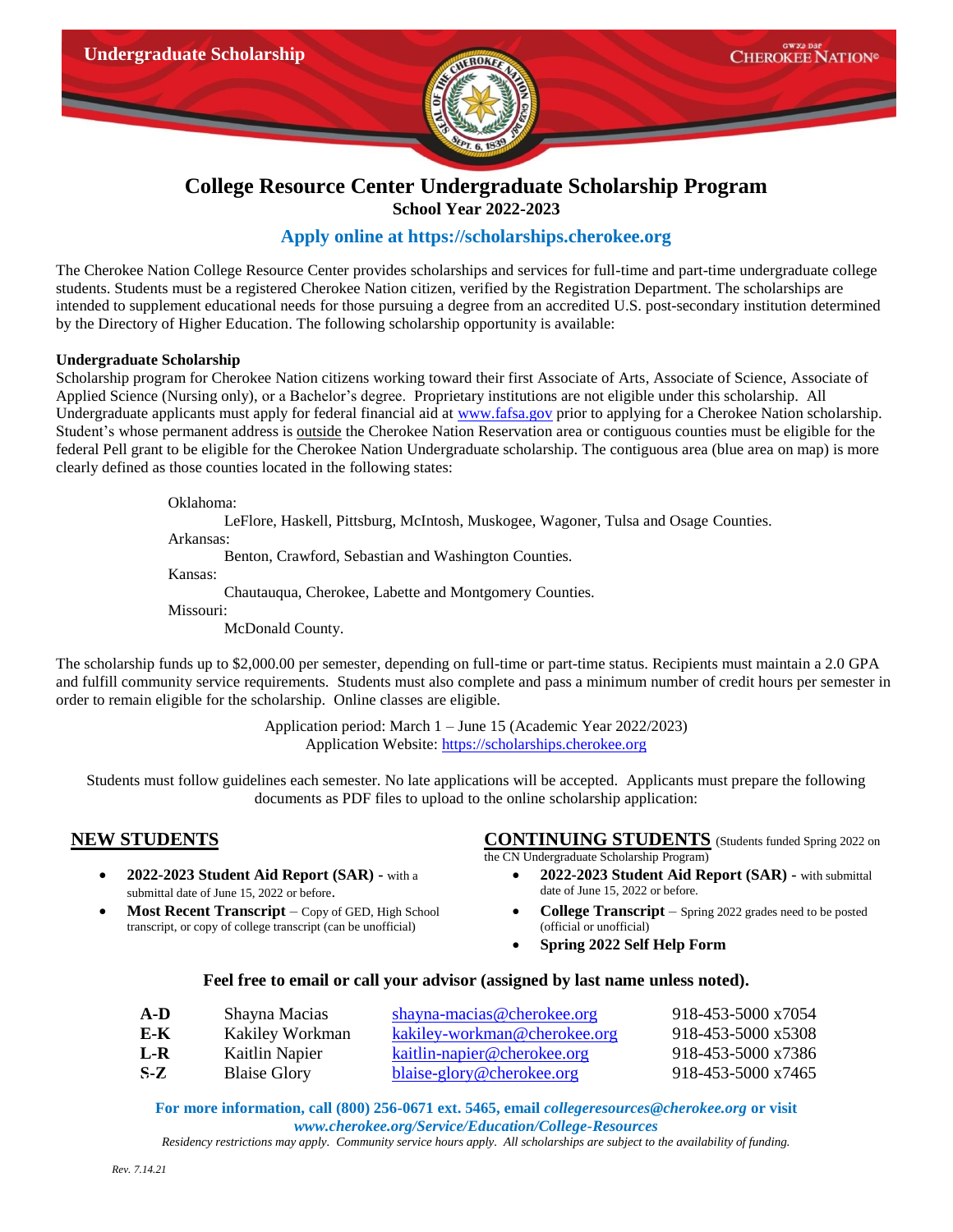

# **College Resource Center Undergraduate Scholarship Program School Year 2022-2023**

## **Apply online at [https://scholarships.cherokee.org](https://scholarships.cherokee.org/)**

The Cherokee Nation College Resource Center provides scholarships and services for full-time and part-time undergraduate college students. Students must be a registered Cherokee Nation citizen, verified by the Registration Department. The scholarships are intended to supplement educational needs for those pursuing a degree from an accredited U.S. post-secondary institution determined by the Directory of Higher Education. The following scholarship opportunity is available:

### **Undergraduate Scholarship**

Scholarship program for Cherokee Nation citizens working toward their first Associate of Arts, Associate of Science, Associate of Applied Science (Nursing only), or a Bachelor's degree. Proprietary institutions are not eligible under this scholarship. All Undergraduate applicants must apply for federal financial aid at [www.fafsa.gov](http://www.fafsa.gov/) prior to applying for a Cherokee Nation scholarship. Student's whose permanent address is outside the Cherokee Nation Reservation area or contiguous counties must be eligible for the federal Pell grant to be eligible for the Cherokee Nation Undergraduate scholarship. The contiguous area (blue area on map) is more clearly defined as those counties located in the following states:

Oklahoma:

LeFlore, Haskell, Pittsburg, McIntosh, Muskogee, Wagoner, Tulsa and Osage Counties.

Arkansas:

Benton, Crawford, Sebastian and Washington Counties.

Kansas:

Chautauqua, Cherokee, Labette and Montgomery Counties.

Missouri:

McDonald County.

The scholarship funds up to \$2,000.00 per semester, depending on full-time or part-time status. Recipients must maintain a 2.0 GPA and fulfill community service requirements. Students must also complete and pass a minimum number of credit hours per semester in order to remain eligible for the scholarship. Online classes are eligible.

> Application period: March 1 – June 15 (Academic Year 2022/2023) Application Website: [https://scholarships.cherokee.org](https://scholarships.cherokee.org/)

Students must follow guidelines each semester. No late applications will be accepted. Applicants must prepare the following documents as PDF files to upload to the online scholarship application:

- **2022-2023 Student Aid Report (SAR) -** with a submittal date of June 15, 2022 or before.
- **Most Recent Transcript** Copy of GED, High School transcript, or copy of college transcript (can be unofficial)

**NEW STUDENTS CONTINUING STUDENTS** (Students funded Spring 2022 on

the CN Undergraduate Scholarship Program)

- **2022-2023 Student Aid Report (SAR) -** with submittal date of June 15, 2022 or before.
- **College Transcript** Spring 2022 grades need to be posted (official or unofficial)
- **Spring 2022 Self Help Form**

## **Feel free to email or call your advisor (assigned by last name unless noted).**

| A-D   | Shayna Macias       | shayna-macias@cherokee.org         | 918-453-5000 x7054 |
|-------|---------------------|------------------------------------|--------------------|
| E-K   | Kakiley Workman     | kakiley-workman@cherokee.org       | 918-453-5000 x5308 |
| L-R   | Kaitlin Napier      | <u>kaitlin-napier@cherokee.org</u> | 918-453-5000 x7386 |
| $S-Z$ | <b>Blaise Glory</b> | blaise-glory@cherokee.org          | 918-453-5000 x7465 |
|       |                     |                                    |                    |

**For more information, call (800) 256-0671 ext. 5465, email** *[collegeresources@cherokee.org](mailto:collegeresources@cherokee.org)* **or visit** *www.cherokee.org/Service/Education/College-Resources*

*Residency restrictions may apply. Community service hours apply. All scholarships are subject to the availability of funding.*